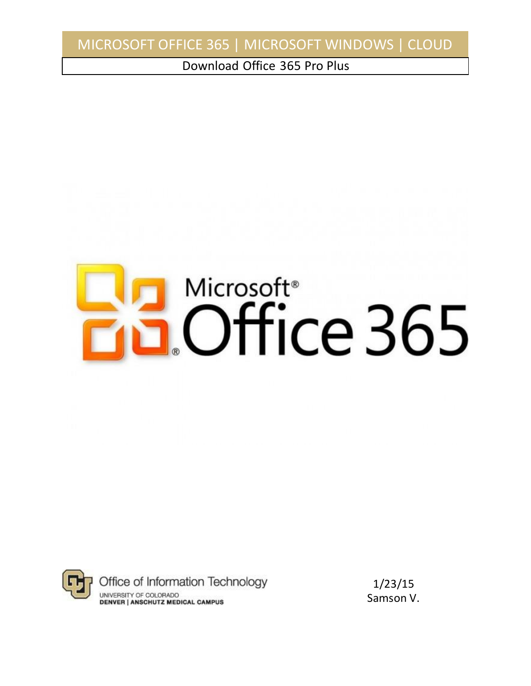Download Office 365 Pro Plus





1/23/15 Samson V.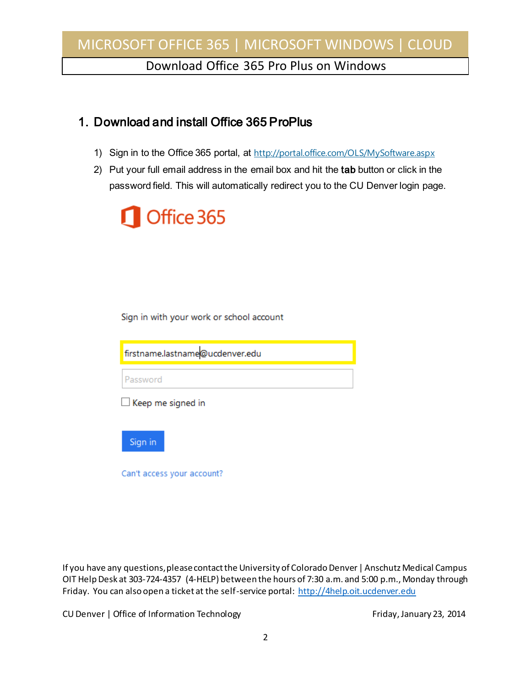Download Office 365 Pro Plus on Windows

### 1. Download and install Office 365 ProPlus

- 1) Sign in to the Office 365 portal, at <http://portal.office.com/OLS/MySoftware.aspx>
- 2) Put your full email address in the email box and hit the tab button or click in the password field. This will automatically redirect you to the CU Denver login page.



Sign in with your work or school account

firstname.lastname@ucdenver.edu

Password

 $\Box$  Keep me signed in

Sign in

Can't access your account?

If you have any questions, please contact the University of Colorado Denver | Anschutz Medical Campus OIT Help Desk at 303-724-4357 (4-HELP) between the hours of 7:30 a.m. and 5:00 p.m., Monday through Friday. You can also open a ticket at the self-service portal[: http://4help.oit.ucdenver.edu](http://4help.oit.ucdenver.edu/)

CU Denver | Office of Information Technology | November 23, 2014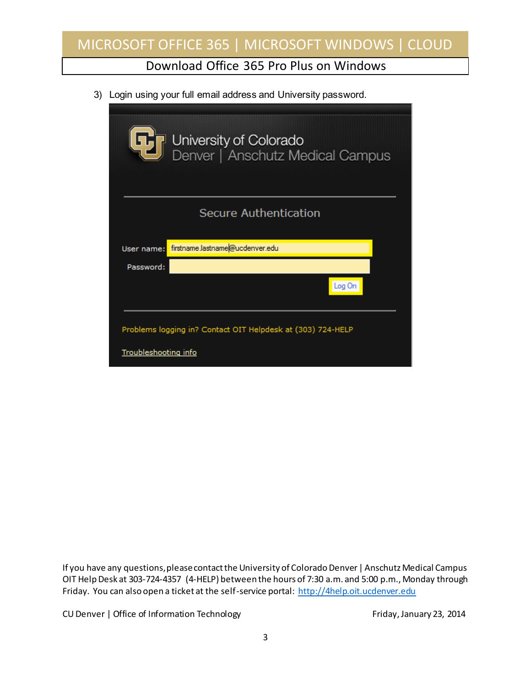#### Download Office 365 Pro Plus on Windows

3) Login using your full email address and University password.

|                                                             | University of Colorado<br>Denver   Anschutz Medical Campus |  |  |
|-------------------------------------------------------------|------------------------------------------------------------|--|--|
|                                                             | <b>Secure Authentication</b>                               |  |  |
| User name:                                                  | firstname.lastname@ucdenver.edu                            |  |  |
| Password:                                                   |                                                            |  |  |
|                                                             | Log On                                                     |  |  |
| Problems logging in? Contact OIT Helpdesk at (303) 724-HELP |                                                            |  |  |
| <b>Troubleshooting info</b>                                 |                                                            |  |  |

If you have any questions, please contact the University of Colorado Denver | Anschutz Medical Campus OIT Help Desk at 303-724-4357 (4-HELP) between the hours of 7:30 a.m. and 5:00 p.m., Monday through Friday. You can also open a ticket at the self-service portal[: http://4help.oit.ucdenver.edu](http://4help.oit.ucdenver.edu/)

CU Denver | Office of Information Technology **Finday, January 23, 2014**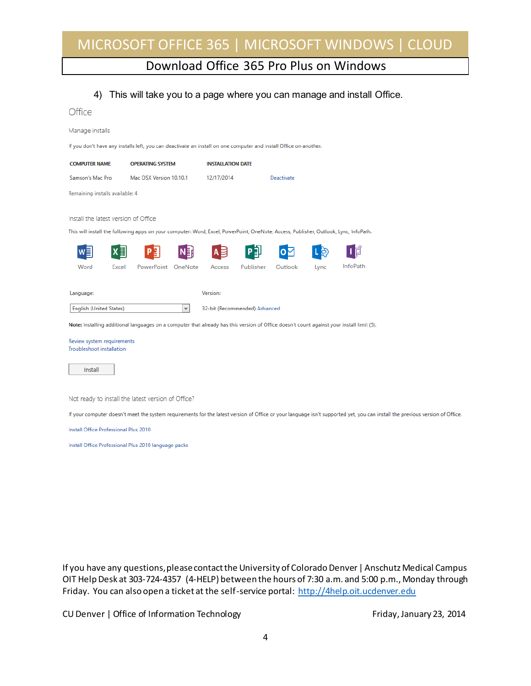### Download Office 365 Pro Plus on Windows

#### 4) This will take you to a page where you can manage and install Office.

| Office                                                  |                                                                                                                                                  |   |                          |                               |            |      |          |  |
|---------------------------------------------------------|--------------------------------------------------------------------------------------------------------------------------------------------------|---|--------------------------|-------------------------------|------------|------|----------|--|
| Manage installs                                         |                                                                                                                                                  |   |                          |                               |            |      |          |  |
|                                                         | If you don't have any installs left, you can deactivate an install on one computer and install Office on another.                                |   |                          |                               |            |      |          |  |
| <b>COMPUTER NAME</b>                                    | <b>OPERATING SYSTEM</b>                                                                                                                          |   | <b>INSTALLATION DATE</b> |                               |            |      |          |  |
| Samson's Mac Pro                                        | Mac OSX Version 10.10.1                                                                                                                          |   | 12/17/2014               |                               | Deactivate |      |          |  |
| Remaining installs available: 4                         |                                                                                                                                                  |   |                          |                               |            |      |          |  |
| Install the latest version of Office                    |                                                                                                                                                  |   |                          |                               |            |      |          |  |
|                                                         | This will install the following apps on your computer: Word, Excel, PowerPoint, OneNote, Access, Publisher, Outlook, Lync, InfoPath.             |   |                          |                               |            |      |          |  |
|                                                         |                                                                                                                                                  |   |                          |                               |            |      |          |  |
| Word<br>Excel                                           | PowerPoint OneNote                                                                                                                               |   | Access                   | Publisher                     | Outlook    | Lync | InfoPath |  |
| Language:                                               |                                                                                                                                                  |   | Version:                 |                               |            |      |          |  |
| <b>English (United States)</b>                          |                                                                                                                                                  | v |                          | 32-bit (Recommended) Advanced |            |      |          |  |
|                                                         | Note: Installing additional languages on a computer that already has this version of Office doesn't count against your install limit (5).        |   |                          |                               |            |      |          |  |
| Review system requirements<br>Troubleshoot installation |                                                                                                                                                  |   |                          |                               |            |      |          |  |
| Install                                                 |                                                                                                                                                  |   |                          |                               |            |      |          |  |
|                                                         |                                                                                                                                                  |   |                          |                               |            |      |          |  |
|                                                         | Not ready to install the latest version of Office?                                                                                               |   |                          |                               |            |      |          |  |
|                                                         | If your computer doesn't meet the system requirements for the latest version of Office or your language isn't supported yet, you can install the |   |                          |                               |            |      |          |  |
| Install Office Professional Plus 2010                   |                                                                                                                                                  |   |                          |                               |            |      |          |  |
|                                                         | Install Office Professional Plus 2010 language packs                                                                                             |   |                          |                               |            |      |          |  |
|                                                         |                                                                                                                                                  |   |                          |                               |            |      |          |  |
|                                                         |                                                                                                                                                  |   |                          |                               |            |      |          |  |
|                                                         |                                                                                                                                                  |   |                          |                               |            |      |          |  |

If you have any questions, please contact the University of Colorado Denver | Anschutz Medical Campus OIT Help Desk at 303-724-4357 (4-HELP) between the hours of 7:30 a.m. and 5:00 p.m., Monday through Friday. You can also open a ticket at the self-service portal[: http://4help.oit.ucdenver.edu](http://4help.oit.ucdenver.edu/)

CU Denver | Office of Information Technology **Finday**, January 23, 2014

previous version of Office.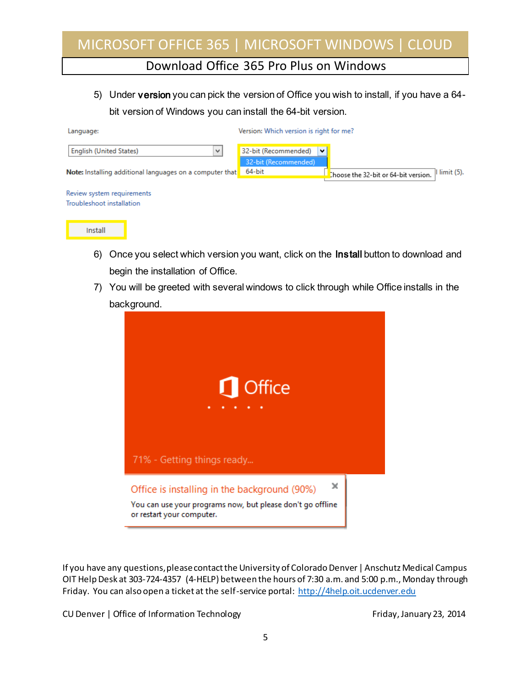#### Download Office 365 Pro Plus on Windows

5) Under version you can pick the version of Office you wish to install, if you have a 64 bit version of Windows you can install the 64-bit version.

| Language:                                                | Version: Which version is right for me? |                                      |  |  |  |
|----------------------------------------------------------|-----------------------------------------|--------------------------------------|--|--|--|
| <b>English (United States)</b><br>v                      | 32-bit (Recommended)<br>$\checkmark$    |                                      |  |  |  |
| Note: Installing additional languages on a computer that | 32-bit (Recommended)<br>64-bit          | $limit(5)$ .                         |  |  |  |
|                                                          |                                         | Choose the 32-bit or 64-bit version. |  |  |  |
| Review system requirements                               |                                         |                                      |  |  |  |
| Troubleshoot installation                                |                                         |                                      |  |  |  |
|                                                          |                                         |                                      |  |  |  |

| and the control of the control of the control of the control of the control of the control of the control of the |
|------------------------------------------------------------------------------------------------------------------|

- 6) Once you select which version you want, click on the Install button to download and begin the installation of Office.
- 7) You will be greeted with several windows to click through while Office installs in the background.



If you have any questions, please contact the University of Colorado Denver | Anschutz Medical Campus OIT Help Desk at 303-724-4357 (4-HELP) between the hours of 7:30 a.m. and 5:00 p.m., Monday through Friday. You can also open a ticket at the self-service portal[: http://4help.oit.ucdenver.edu](http://4help.oit.ucdenver.edu/)

CU Denver | Office of Information Technology Friday, January 23, 2014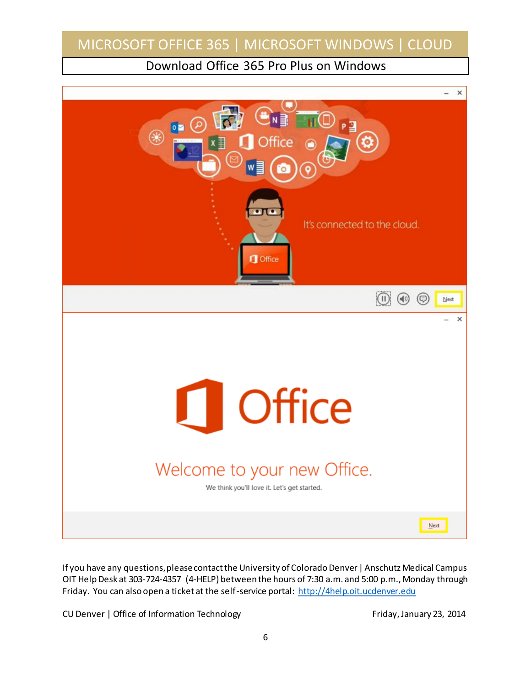Download Office 365 Pro Plus on Windows



If you have any questions, please contact the University of Colorado Denver | Anschutz Medical Campus OIT Help Desk at 303-724-4357 (4-HELP) between the hours of 7:30 a.m. and 5:00 p.m., Monday through Friday. You can also open a ticket at the self-service portal[: http://4help.oit.ucdenver.edu](http://4help.oit.ucdenver.edu/)

CU Denver | Office of Information Technology Friday, January 23, 2014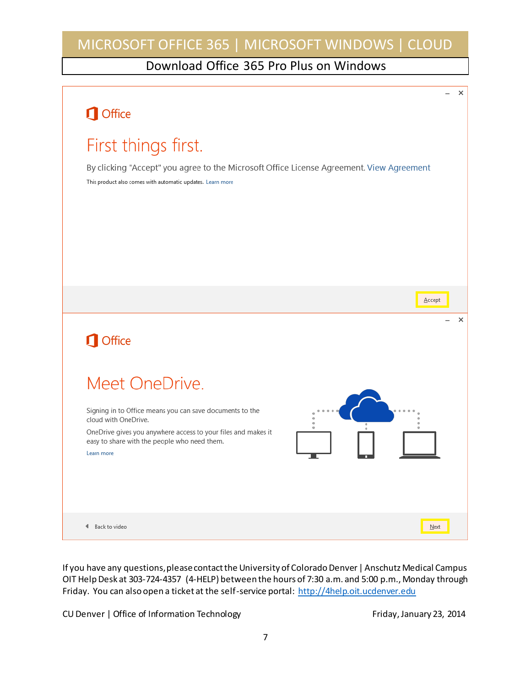### Download Office 365 Pro Plus on Windows



If you have any questions, please contact the University of Colorado Denver | Anschutz Medical Campus OIT Help Desk at 303-724-4357 (4-HELP) between the hours of 7:30 a.m. and 5:00 p.m., Monday through Friday. You can also open a ticket at the self-service portal[: http://4help.oit.ucdenver.edu](http://4help.oit.ucdenver.edu/)

CU Denver | Office of Information Technology | November 23, 2014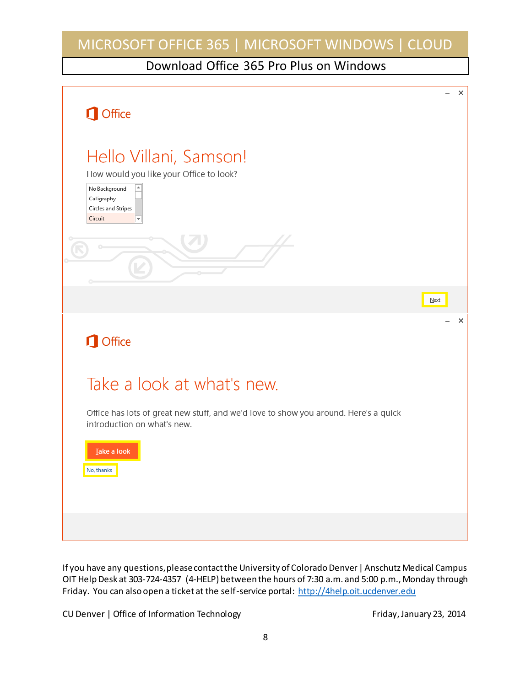Download Office 365 Pro Plus on Windows



If you have any questions, please contact the University of Colorado Denver | Anschutz Medical Campus OIT Help Desk at 303-724-4357 (4-HELP) between the hours of 7:30 a.m. and 5:00 p.m., Monday through Friday. You can also open a ticket at the self-service portal[: http://4help.oit.ucdenver.edu](http://4help.oit.ucdenver.edu/)

CU Denver | Office of Information Technology | November 23, 2014